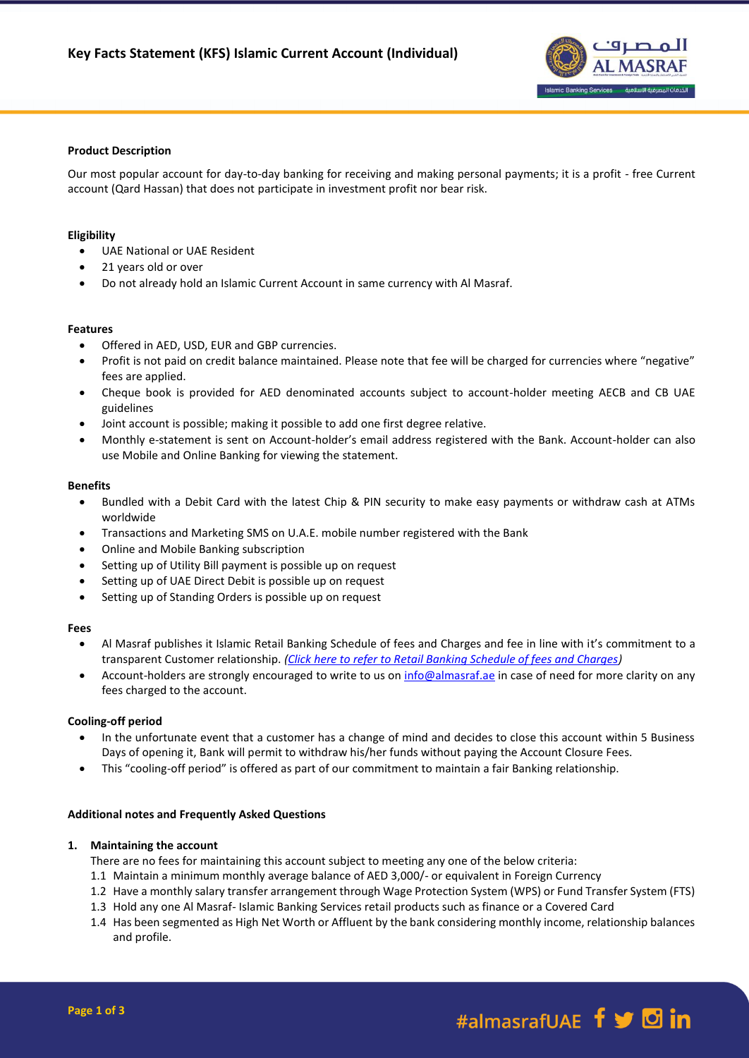

# **Product Description**

Our most popular account for day-to-day banking for receiving and making personal payments; it is a profit - free Current account (Qard Hassan) that does not participate in investment profit nor bear risk.

# **Eligibility**

- UAE National or UAE Resident
- 21 years old or over
- Do not already hold an Islamic Current Account in same currency with Al Masraf.

### **Features**

- Offered in AED, USD, EUR and GBP currencies.
- Profit is not paid on credit balance maintained. Please note that fee will be charged for currencies where "negative" fees are applied.
- Cheque book is provided for AED denominated accounts subject to account-holder meeting AECB and CB UAE guidelines
- Joint account is possible; making it possible to add one first degree relative.
- Monthly e-statement is sent on Account-holder's email address registered with the Bank. Account-holder can also use Mobile and Online Banking for viewing the statement.

#### **Benefits**

- Bundled with a Debit Card with the latest Chip & PIN security to make easy payments or withdraw cash at ATMs worldwide
- Transactions and Marketing SMS on U.A.E. mobile number registered with the Bank
- Online and Mobile Banking subscription
- Setting up of Utility Bill payment is possible up on request
- Setting up of UAE Direct Debit is possible up on request
- Setting up of Standing Orders is possible up on request

### **Fees**

- Al Masraf publishes it Islamic Retail Banking Schedule of fees and Charges and fee in line with it's commitment to a transparent Customer relationship. *[\(Click here to refer to Retail Banking Schedule of fees and Charges\)](https://almasraf.ae/wp-content/uploads/2021/01/Islamic_Banking_Personal.pdf)*
- Account-holders are strongly encouraged to write to us on [info@almasraf.ae](mailto:info@almasraf.ae) in case of need for more clarity on any fees charged to the account.

### **Cooling-off period**

- In the unfortunate event that a customer has a change of mind and decides to close this account within 5 Business Days of opening it, Bank will permit to withdraw his/her funds without paying the Account Closure Fees.
- This "cooling-off period" is offered as part of our commitment to maintain a fair Banking relationship.

### **Additional notes and Frequently Asked Questions**

### **1. Maintaining the account**

There are no fees for maintaining this account subject to meeting any one of the below criteria:

- 1.1 Maintain a minimum monthly average balance of AED 3,000/- or equivalent in Foreign Currency
- 1.2 Have a monthly salary transfer arrangement through Wage Protection System (WPS) or Fund Transfer System (FTS)
- 1.3 Hold any one Al Masraf- Islamic Banking Services retail products such as finance or a Covered Card
- 1.4 Has been segmented as High Net Worth or Affluent by the bank considering monthly income, relationship balances and profile.

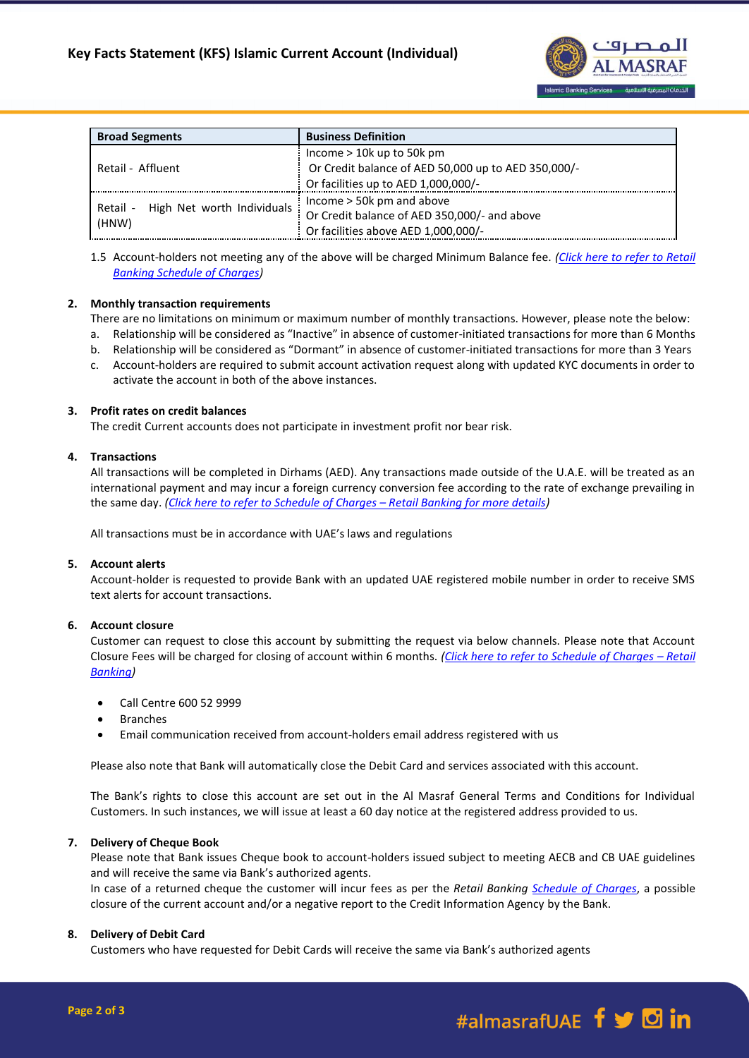

| <b>Broad Segments</b>                           | <b>Business Definition</b>                          |
|-------------------------------------------------|-----------------------------------------------------|
| Retail - Affluent                               | Income $> 10k$ up to 50k pm                         |
|                                                 | Or Credit balance of AED 50,000 up to AED 350,000/- |
|                                                 | Or facilities up to AED 1,000,000/-                 |
| High Net worth Individuals<br>Retail -<br>(HNW) | Income > 50k pm and above                           |
|                                                 | Or Credit balance of AED 350,000/- and above        |
|                                                 | Or facilities above AED 1,000,000/-                 |

<sup>1.5</sup> Account-holders not meeting any of the above will be charged Minimum Balance fee. *[\(Click here to refer to Retail](https://almasraf.ae/wp-content/uploads/2021/01/Islamic_Banking_Personal.pdf)  [Banking Schedule of Charges\)](https://almasraf.ae/wp-content/uploads/2021/01/Islamic_Banking_Personal.pdf)*

# **2. Monthly transaction requirements**

There are no limitations on minimum or maximum number of monthly transactions. However, please note the below:

- a. Relationship will be considered as "Inactive" in absence of customer-initiated transactions for more than 6 Months
- b. Relationship will be considered as "Dormant" in absence of customer-initiated transactions for more than 3 Years
- c. Account-holders are required to submit account activation request along with updated KYC documents in order to activate the account in both of the above instances.

# **3. Profit rates on credit balances**

The credit Current accounts does not participate in investment profit nor bear risk.

# **4. Transactions**

All transactions will be completed in Dirhams (AED). Any transactions made outside of the U.A.E. will be treated as an international payment and may incur a foreign currency conversion fee according to the rate of exchange prevailing in the same day. *[\(Click here to refer to Schedule of Charges](https://almasraf.ae/wp-content/uploads/2021/01/Islamic_Banking_Personal.pdf) – Retail Banking for more details)*

All transactions must be in accordance with UAE's laws and regulations

### **5. Account alerts**

Account-holder is requested to provide Bank with an updated UAE registered mobile number in order to receive SMS text alerts for account transactions.

# **6. Account closure**

Customer can request to close this account by submitting the request via below channels. Please note that Account Closure Fees will be charged for closing of account within 6 months. *[\(Click here to refer to Schedule of Charges](https://almasraf.ae/wp-content/uploads/2021/01/Islamic_Banking_Personal.pdf) – Retail [Banking\)](https://almasraf.ae/wp-content/uploads/2021/01/Islamic_Banking_Personal.pdf)*

- Call Centre 600 52 9999
- Branches
- Email communication received from account-holders email address registered with us

Please also note that Bank will automatically close the Debit Card and services associated with this account.

The Bank's rights to close this account are set out in the Al Masraf General Terms and Conditions for Individual Customers. In such instances, we will issue at least a 60 day notice at the registered address provided to us.

## **7. Delivery of Cheque Book**

Please note that Bank issues Cheque book to account-holders issued subject to meeting AECB and CB UAE guidelines and will receive the same via Bank's authorized agents.

In case of a returned cheque the customer will incur fees as per the *Retail Banking [Schedule of Charges](https://almasraf.ae/pdf/Schedule_of_Charges_Personal_Banking.pdf)*, a possible closure of the current account and/or a negative report to the Credit Information Agency by the Bank.

### **8. Delivery of Debit Card**

Customers who have requested for Debit Cards will receive the same via Bank's authorized agents